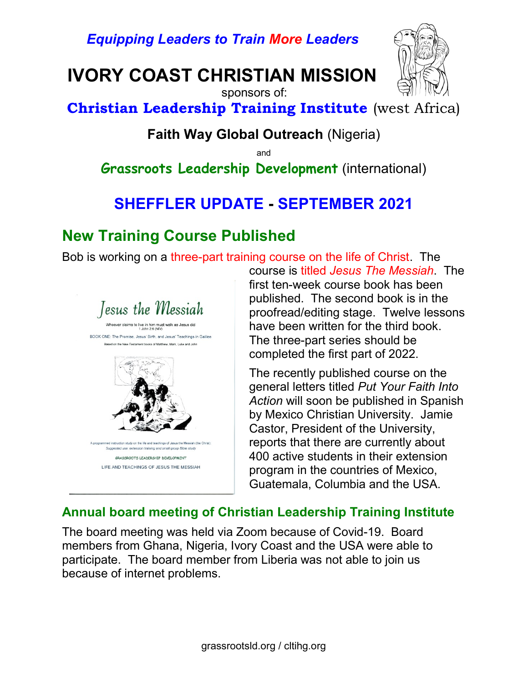Equipping Leaders to Train More Leaders

IVORY COAST CHRISTIAN MISSION



 sponsors of: Christian Leadership Training Institute (west Africa)

### Faith Way Global Outreach (Nigeria)

and

Grassroots Leadership Development (international)

# SHEFFLER UPDATE - SEPTEMBER 2021

## New Training Course Published

Bob is working on a three-part training course on the life of Christ. The



course is titled Jesus The Messiah. The first ten-week course book has been published. The second book is in the proofread/editing stage. Twelve lessons have been written for the third book. The three-part series should be completed the first part of 2022.

The recently published course on the general letters titled Put Your Faith Into Action will soon be published in Spanish by Mexico Christian University. Jamie Castor, President of the University, reports that there are currently about 400 active students in their extension program in the countries of Mexico, Guatemala, Columbia and the USA.

#### Annual board meeting of Christian Leadership Training Institute

The board meeting was held via Zoom because of Covid-19. Board members from Ghana, Nigeria, Ivory Coast and the USA were able to participate. The board member from Liberia was not able to join us because of internet problems.